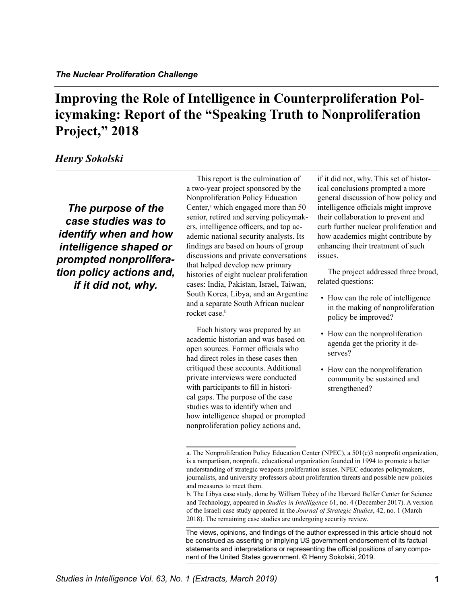# **Improving the Role of Intelligence in Counterproliferation Policymaking: Report of the "Speaking Truth to Nonproliferation Project," 2018**

# *Henry Sokolski*

*The purpose of the case studies was to identify when and how intelligence shaped or prompted nonproliferation policy actions and, if it did not, why.* 

This report is the culmination of a two-year project sponsored by the Nonproliferation Policy Education Center,<sup>a</sup> which engaged more than 50 senior, retired and serving policymakers, intelligence officers, and top academic national security analysts. Its findings are based on hours of group discussions and private conversations that helped develop new primary histories of eight nuclear proliferation cases: India, Pakistan, Israel, Taiwan, South Korea, Libya, and an Argentine and a separate South African nuclear rocket case.<sup>b</sup>

Each history was prepared by an academic historian and was based on open sources. Former officials who had direct roles in these cases then critiqued these accounts. Additional private interviews were conducted with participants to fill in historical gaps. The purpose of the case studies was to identify when and how intelligence shaped or prompted nonproliferation policy actions and,

if it did not, why. This set of historical conclusions prompted a more general discussion of how policy and intelligence officials might improve their collaboration to prevent and curb further nuclear proliferation and how academics might contribute by enhancing their treatment of such issues.

The project addressed three broad, related questions:

- How can the role of intelligence in the making of nonproliferation policy be improved?
- How can the nonproliferation agenda get the priority it deserves?
- How can the nonproliferation community be sustained and strengthened?

a. The Nonproliferation Policy Education Center (NPEC), a 501(c)3 nonprofit organization, is a nonpartisan, nonprofit, educational organization founded in 1994 to promote a better understanding of strategic weapons proliferation issues. NPEC educates policymakers, journalists, and university professors about proliferation threats and possible new policies and measures to meet them.

b. The Libya case study, done by William Tobey of the Harvard Belfer Center for Science and Technology, appeared in *Studies in Intelligence* 61, no. 4 (December 2017). A version of the Israeli case study appeared in the *Journal of Strategic Studies*, 42, no. 1 (March 2018). The remaining case studies are undergoing security review.

The views, opinions, and findings of the author expressed in this article should not be construed as asserting or implying US government endorsement of its factual statements and interpretations or representing the official positions of any component of the United States government. © Henry Sokolski, 2019.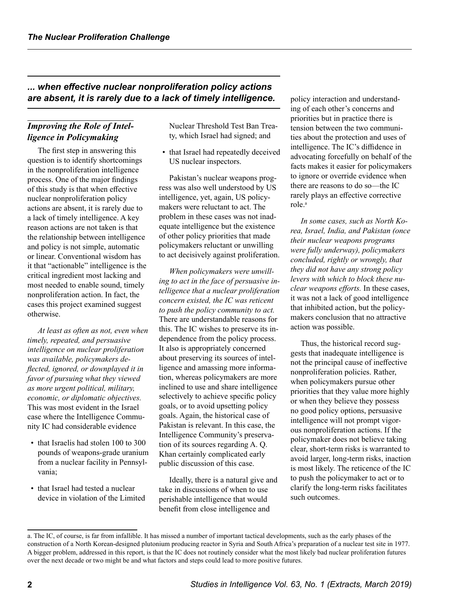# *... when effective nuclear nonproliferation policy actions are absent, it is rarely due to a lack of timely intelligence.*

# *Improving the Role of Intelligence in Policymaking*

The first step in answering this question is to identify shortcomings in the nonproliferation intelligence process. One of the major findings of this study is that when effective nuclear nonproliferation policy actions are absent, it is rarely due to a lack of timely intelligence. A key reason actions are not taken is that the relationship between intelligence and policy is not simple, automatic or linear. Conventional wisdom has it that "actionable" intelligence is the critical ingredient most lacking and most needed to enable sound, timely nonproliferation action. In fact, the cases this project examined suggest otherwise.

*At least as often as not, even when timely, repeated, and persuasive intelligence on nuclear proliferation was available, policymakers deflected, ignored, or downplayed it in favor of pursuing what they viewed as more urgent political, military, economic, or diplomatic objectives.* This was most evident in the Israel case where the Intelligence Community IC had considerable evidence

- that Israelis had stolen 100 to 300 pounds of weapons-grade uranium from a nuclear facility in Pennsylvania;
- that Israel had tested a nuclear device in violation of the Limited

Nuclear Threshold Test Ban Treaty, which Israel had signed; and

• that Israel had repeatedly deceived US nuclear inspectors.

Pakistan's nuclear weapons progress was also well understood by US intelligence, yet, again, US policymakers were reluctant to act. The problem in these cases was not inadequate intelligence but the existence of other policy priorities that made policymakers reluctant or unwilling to act decisively against proliferation.

*When policymakers were unwilling to act in the face of persuasive intelligence that a nuclear proliferation concern existed, the IC was reticent to push the policy community to act.* There are understandable reasons for this. The IC wishes to preserve its independence from the policy process. It also is appropriately concerned about preserving its sources of intelligence and amassing more information, whereas policymakers are more inclined to use and share intelligence selectively to achieve specific policy goals, or to avoid upsetting policy goals. Again, the historical case of Pakistan is relevant. In this case, the Intelligence Community's preservation of its sources regarding A. Q. Khan certainly complicated early public discussion of this case.

Ideally, there is a natural give and take in discussions of when to use perishable intelligence that would benefit from close intelligence and

policy interaction and understanding of each other's concerns and priorities but in practice there is tension between the two communities about the protection and uses of intelligence. The IC's diffidence in advocating forcefully on behalf of the facts makes it easier for policymakers to ignore or override evidence when there are reasons to do so—the IC rarely plays an effective corrective role.<sup>a</sup>

*In some cases, such as North Korea, Israel, India, and Pakistan (once their nuclear weapons programs were fully underway), policymakers concluded, rightly or wrongly, that they did not have any strong policy levers with which to block these nuclear weapons efforts.* In these cases, it was not a lack of good intelligence that inhibited action, but the policymakers conclusion that no attractive action was possible.

Thus, the historical record suggests that inadequate intelligence is not the principal cause of ineffective nonproliferation policies. Rather, when policymakers pursue other priorities that they value more highly or when they believe they possess no good policy options, persuasive intelligence will not prompt vigorous nonproliferation actions. If the policymaker does not believe taking clear, short-term risks is warranted to avoid larger, long-term risks, inaction is most likely. The reticence of the IC to push the policymaker to act or to clarify the long-term risks facilitates such outcomes.

a. The IC, of course, is far from infallible. It has missed a number of important tactical developments, such as the early phases of the construction of a North Korean-designed plutonium producing reactor in Syria and South Africa's preparation of a nuclear test site in 1977. A bigger problem, addressed in this report, is that the IC does not routinely consider what the most likely bad nuclear proliferation futures over the next decade or two might be and what factors and steps could lead to more positive futures.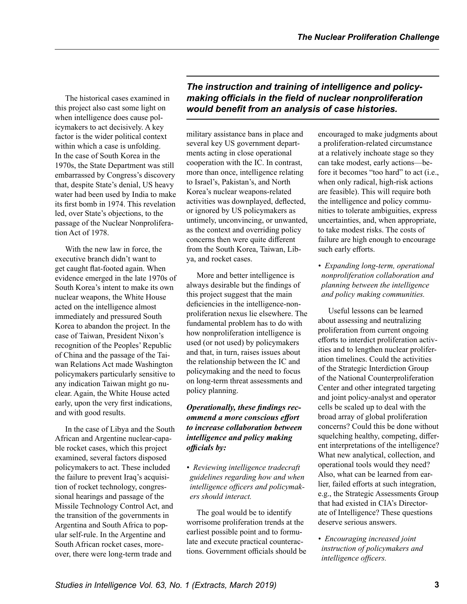The historical cases examined in this project also cast some light on when intelligence does cause policymakers to act decisively. A key factor is the wider political context within which a case is unfolding. In the case of South Korea in the 1970s, the State Department was still embarrassed by Congress's discovery that, despite State's denial, US heavy water had been used by India to make its first bomb in 1974. This revelation led, over State's objections, to the passage of the Nuclear Nonproliferation Act of 1978.

With the new law in force, the executive branch didn't want to get caught flat-footed again. When evidence emerged in the late 1970s of South Korea's intent to make its own nuclear weapons, the White House acted on the intelligence almost immediately and pressured South Korea to abandon the project. In the case of Taiwan, President Nixon's recognition of the Peoples' Republic of China and the passage of the Taiwan Relations Act made Washington policymakers particularly sensitive to any indication Taiwan might go nuclear. Again, the White House acted early, upon the very first indications, and with good results.

In the case of Libya and the South African and Argentine nuclear-capable rocket cases, which this project examined, several factors disposed policymakers to act. These included the failure to prevent Iraq's acquisition of rocket technology, congressional hearings and passage of the Missile Technology Control Act, and the transition of the governments in Argentina and South Africa to popular self-rule. In the Argentine and South African rocket cases, moreover, there were long-term trade and

*The instruction and training of intelligence and policymaking officials in the field of nuclear nonproliferation would benefit from an analysis of case histories.*

military assistance bans in place and several key US government departments acting in close operational cooperation with the IC. In contrast, more than once, intelligence relating to Israel's, Pakistan's, and North Korea's nuclear weapons-related activities was downplayed, deflected, or ignored by US policymakers as untimely, unconvincing, or unwanted, as the context and overriding policy concerns then were quite different from the South Korea, Taiwan, Libya, and rocket cases.

More and better intelligence is always desirable but the findings of this project suggest that the main deficiencies in the intelligence-nonproliferation nexus lie elsewhere. The fundamental problem has to do with how nonproliferation intelligence is used (or not used) by policymakers and that, in turn, raises issues about the relationship between the IC and policymaking and the need to focus on long-term threat assessments and policy planning.

## *Operationally, these findings recommend a more conscious effort to increase collaboration between intelligence and policy making officials by:*

*• Reviewing intelligence tradecraft guidelines regarding how and when intelligence officers and policymakers should interact.*

The goal would be to identify worrisome proliferation trends at the earliest possible point and to formulate and execute practical counteractions. Government officials should be encouraged to make judgments about a proliferation-related circumstance at a relatively inchoate stage so they can take modest, early actions—before it becomes "too hard" to act (i.e., when only radical, high-risk actions are feasible). This will require both the intelligence and policy communities to tolerate ambiguities, express uncertainties, and, when appropriate, to take modest risks. The costs of failure are high enough to encourage such early efforts.

*• Expanding long-term, operational nonproliferation collaboration and planning between the intelligence and policy making communities.*

Useful lessons can be learned about assessing and neutralizing proliferation from current ongoing efforts to interdict proliferation activities and to lengthen nuclear proliferation timelines. Could the activities of the Strategic Interdiction Group of the National Counterproliferation Center and other integrated targeting and joint policy-analyst and operator cells be scaled up to deal with the broad array of global proliferation concerns? Could this be done without squelching healthy, competing, different interpretations of the intelligence? What new analytical, collection, and operational tools would they need? Also, what can be learned from earlier, failed efforts at such integration, e.g., the Strategic Assessments Group that had existed in CIA's Directorate of Intelligence? These questions deserve serious answers.

*• Encouraging increased joint instruction of policymakers and intelligence officers.*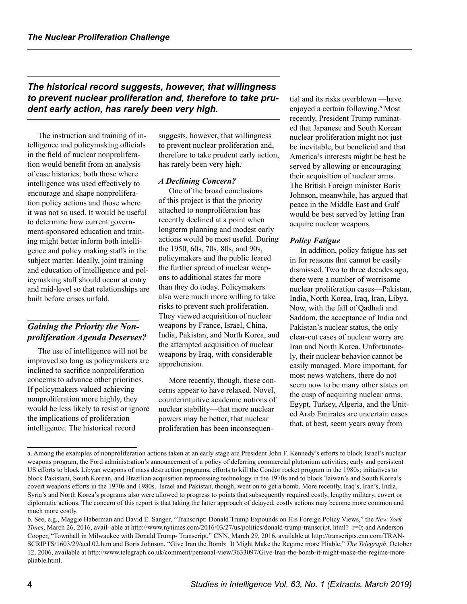*The historical record suggests, however, that willingness to prevent nuclear proliferation and, therefore to take prudent early action, has rarely been very high.*

The instruction and training of intelligence and policymaking officials in the field of nuclear nonproliferation would benefit from an analysis of case histories; both those where intelligence was used effectively to encourage and shape nonproliferation policy actions and those where it was not so used. It would be useful to determine how current government-sponsored education and training might better inform both intelligence and policy making staffs in the subject matter. Ideally, joint training and education of intelligence and policymaking staff should occur at entry and mid-level so that relationships are built before crises unfold.

# *Gaining the Priority the Nonproliferation Agenda Deserves?*

The use of intelligence will not be improved so long as policymakers are inclined to sacrifice nonproliferation concerns to advance other priorities. If policymakers valued achieving nonproliferation more highly, they would be less likely to resist or ignore the implications of proliferation intelligence. The historical record

suggests, however, that willingness to prevent nuclear proliferation and, therefore to take prudent early action, has rarely been very high.<sup>a</sup>

#### *A Declining Concern?*

One of the broad conclusions of this project is that the priority attached to nonproliferation has recently declined at a point when longterm planning and modest early actions would be most useful. During the 1950, 60s, 70s, 80s, and 90s, policymakers and the public feared the further spread of nuclear weapons to additional states far more than they do today. Policymakers also were much more willing to take risks to prevent such proliferation. They viewed acquisition of nuclear weapons by France, Israel, China, India, Pakistan, and North Korea, and the attempted acquisition of nuclear weapons by Iraq, with considerable apprehension.

More recently, though, these concerns appear to have relaxed. Novel, counterintuitive academic notions of nuclear stability—that more nuclear powers may be better, that nuclear proliferation has been inconsequential and its risks overblown —have enjoyed a certain following.<sup>b</sup> Most recently, President Trump ruminated that Japanese and South Korean nuclear proliferation might not just be inevitable, but beneficial and that America's interests might be best be served by allowing or encouraging their acquisition of nuclear arms. The British Foreign minister Boris Johnson, meanwhile, has argued that peace in the Middle East and Gulf would be best served by letting Iran acquire nuclear weapons.

#### *Policy Fatigue*

In addition, policy fatigue has set in for reasons that cannot be easily dismissed. Two to three decades ago, there were a number of worrisome nuclear proliferation cases—Pakistan, India, North Korea, Iraq, Iran, Libya. Now, with the fall of Qadhafi and Saddam, the acceptance of India and Pakistan's nuclear status, the only clear-cut cases of nuclear worry are Iran and North Korea. Unfortunately, their nuclear behavior cannot be easily managed. More important, for most news watchers, there do not seem now to be many other states on the cusp of acquiring nuclear arms. Egypt, Turkey, Algeria, and the United Arab Emirates are uncertain cases that, at best, seem years away from

a. Among the examples of nonproliferation actions taken at an early stage are President John F. Kennedy's efforts to block Israel's nuclear weapons program, the Ford administration's announcement of a policy of deferring commercial plutonium activities; early and persistent US efforts to block Libyan weapons of mass destruction programs; efforts to kill the Condor rocket program in the 1980s; initiatives to block Pakistani, South Korean, and Brazilian acquisition reprocessing technology in the 1970s and to block Taiwan's and South Korea's covert weapons efforts in the 1970s and 1980s. Israel and Pakistan, though, went on to get a bomb. More recently, Iraq's, Iran's, India, Syria's and North Korea's programs also were allowed to progress to points that subsequently required costly, lengthy military, covert or diplomatic actions. The concern of this report is that taking the latter approach of delayed, costly actions may become more common and much more costly.

b. See, e.g., Maggie Haberman and David E. Sanger, "Transcript: Donald Trump Expounds on His Foreign Policy Views," the *New York Times*, March 26, 2016, avail- able at http://www.nytimes.com/2016/03/27/us/politics/donald-trump-transcript. html? r=0; and Anderson Cooper, "Townhall in Milwaukee with Donald Trump- Transcript," CNN, March 29, 2016, available at http://transcripts.cnn.com/TRAN-SCRIPTS/1603/29/acd.02.htm and Boris Johnson, "Give Iran the Bomb: It Might Make the Regime more Pliable," *The Telegraph*, October 12, 2006, available at http://www.telegraph.co.uk/comment/personal-view/3633097/Give-Iran-the-bomb-it-might-make-the-regime-morepliable.html.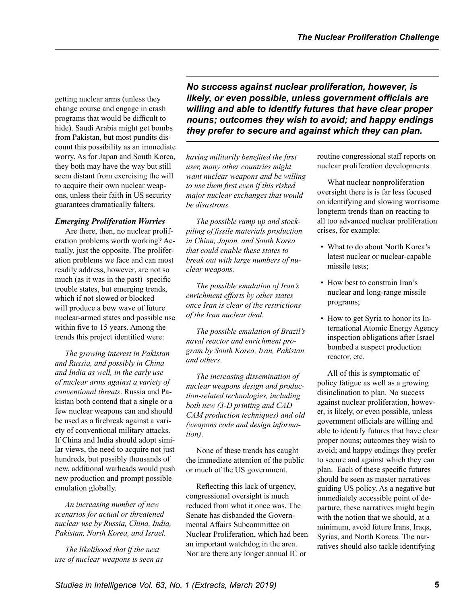getting nuclear arms (unless they change course and engage in crash programs that would be difficult to hide). Saudi Arabia might get bombs from Pakistan, but most pundits discount this possibility as an immediate worry. As for Japan and South Korea, they both may have the way but still seem distant from exercising the will to acquire their own nuclear weapons, unless their faith in US security guarantees dramatically falters.

## *Emerging Proliferation Worries*

Are there, then, no nuclear proliferation problems worth working? Actually, just the opposite. The proliferation problems we face and can most readily address, however, are not so much (as it was in the past) specific trouble states, but emerging trends, which if not slowed or blocked will produce a bow wave of future nuclear-armed states and possible use within five to 15 years. Among the trends this project identified were:

*The growing interest in Pakistan and Russia, and possibly in China and India as well, in the early use of nuclear arms against a variety of conventional threats*. Russia and Pakistan both contend that a single or a few nuclear weapons can and should be used as a firebreak against a variety of conventional military attacks. If China and India should adopt similar views, the need to acquire not just hundreds, but possibly thousands of new, additional warheads would push new production and prompt possible emulation globally.

*An increasing number of new scenarios for actual or threatened nuclear use by Russia, China, India, Pakistan, North Korea, and Israel.*

*The likelihood that if the next use of nuclear weapons is seen as*  *No success against nuclear proliferation, however, is likely, or even possible, unless government officials are willing and able to identify futures that have clear proper nouns; outcomes they wish to avoid; and happy endings they prefer to secure and against which they can plan.* 

*having militarily benefited the first user, many other countries might want nuclear weapons and be willing to use them first even if this risked major nuclear exchanges that would be disastrous.*

*The possible ramp up and stockpiling of fissile materials production in China, Japan, and South Korea that could enable these states to break out with large numbers of nuclear weapons.*

*The possible emulation of Iran's enrichment efforts by other states once Iran is clear of the restrictions of the Iran nuclear deal.*

*The possible emulation of Brazil's naval reactor and enrichment program by South Korea, Iran, Pakistan and others*.

*The increasing dissemination of nuclear weapons design and production-related technologies, including both new (3-D printing and CAD CAM production techniques) and old (weapons code and design information)*.

None of these trends has caught the immediate attention of the public or much of the US government.

Reflecting this lack of urgency, congressional oversight is much reduced from what it once was. The Senate has disbanded the Governmental Affairs Subcommittee on Nuclear Proliferation, which had been an important watchdog in the area. Nor are there any longer annual IC or

routine congressional staff reports on nuclear proliferation developments.

What nuclear nonproliferation oversight there is is far less focused on identifying and slowing worrisome longterm trends than on reacting to all too advanced nuclear proliferation crises, for example:

- What to do about North Korea's latest nuclear or nuclear-capable missile tests;
- How best to constrain Iran's nuclear and long-range missile programs;
- How to get Syria to honor its International Atomic Energy Agency inspection obligations after Israel bombed a suspect production reactor, etc.

All of this is symptomatic of policy fatigue as well as a growing disinclination to plan. No success against nuclear proliferation, however, is likely, or even possible, unless government officials are willing and able to identify futures that have clear proper nouns; outcomes they wish to avoid; and happy endings they prefer to secure and against which they can plan. Each of these specific futures should be seen as master narratives guiding US policy. As a negative but immediately accessible point of departure, these narratives might begin with the notion that we should, at a minimum, avoid future Irans, Iraqs, Syrias, and North Koreas. The narratives should also tackle identifying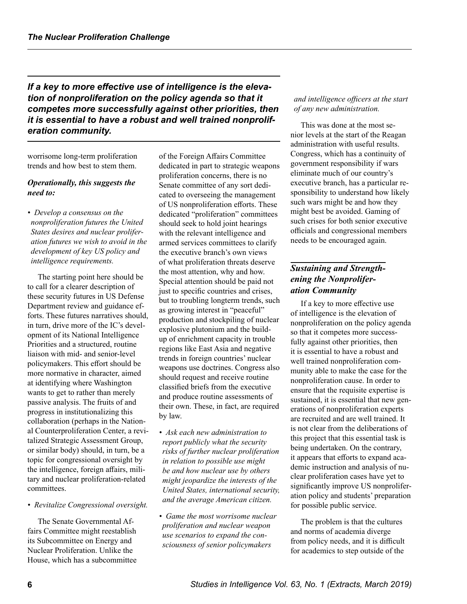*If a key to more effective use of intelligence is the elevation of nonproliferation on the policy agenda so that it competes more successfully against other priorities, then it is essential to have a robust and well trained nonproliferation community.*

worrisome long-term proliferation trends and how best to stem them.

### *Operationally, this suggests the need to:*

*• Develop a consensus on the nonproliferation futures the United States desires and nuclear proliferation futures we wish to avoid in the development of key US policy and intelligence requirements.*

The starting point here should be to call for a clearer description of these security futures in US Defense Department review and guidance efforts. These futures narratives should, in turn, drive more of the IC's development of its National Intelligence Priorities and a structured, routine liaison with mid- and senior-level policymakers. This effort should be more normative in character, aimed at identifying where Washington wants to get to rather than merely passive analysis. The fruits of and progress in institutionalizing this collaboration (perhaps in the National Counterproliferation Center, a revitalized Strategic Assessment Group, or similar body) should, in turn, be a topic for congressional oversight by the intelligence, foreign affairs, military and nuclear proliferation-related committees.

*• Revitalize Congressional oversight.*

The Senate Governmental Affairs Committee might reestablish its Subcommittee on Energy and Nuclear Proliferation. Unlike the House, which has a subcommittee of the Foreign Affairs Committee dedicated in part to strategic weapons proliferation concerns, there is no Senate committee of any sort dedicated to overseeing the management of US nonproliferation efforts. These dedicated "proliferation" committees should seek to hold joint hearings with the relevant intelligence and armed services committees to clarify the executive branch's own views of what proliferation threats deserve the most attention, why and how. Special attention should be paid not just to specific countries and crises, but to troubling longterm trends, such as growing interest in "peaceful" production and stockpiling of nuclear explosive plutonium and the buildup of enrichment capacity in trouble regions like East Asia and negative trends in foreign countries' nuclear weapons use doctrines. Congress also should request and receive routine classified briefs from the executive and produce routine assessments of their own. These, in fact, are required by law.

- *Ask each new administration to report publicly what the security risks of further nuclear proliferation in relation to possible use might be and how nuclear use by others might jeopardize the interests of the United States, international security, and the average American citizen.*
- *Game the most worrisome nuclear proliferation and nuclear weapon use scenarios to expand the consciousness of senior policymakers*

#### *and intelligence officers at the start of any new administration.*

This was done at the most senior levels at the start of the Reagan administration with useful results. Congress, which has a continuity of government responsibility if wars eliminate much of our country's executive branch, has a particular responsibility to understand how likely such wars might be and how they might best be avoided. Gaming of such crises for both senior executive officials and congressional members needs to be encouraged again.

# *Sustaining and Strengthening the Nonproliferation Community*

If a key to more effective use of intelligence is the elevation of nonproliferation on the policy agenda so that it competes more successfully against other priorities, then it is essential to have a robust and well trained nonproliferation community able to make the case for the nonproliferation cause. In order to ensure that the requisite expertise is sustained, it is essential that new generations of nonproliferation experts are recruited and are well trained. It is not clear from the deliberations of this project that this essential task is being undertaken. On the contrary, it appears that efforts to expand academic instruction and analysis of nuclear proliferation cases have yet to significantly improve US nonproliferation policy and students' preparation for possible public service.

The problem is that the cultures and norms of academia diverge from policy needs, and it is difficult for academics to step outside of the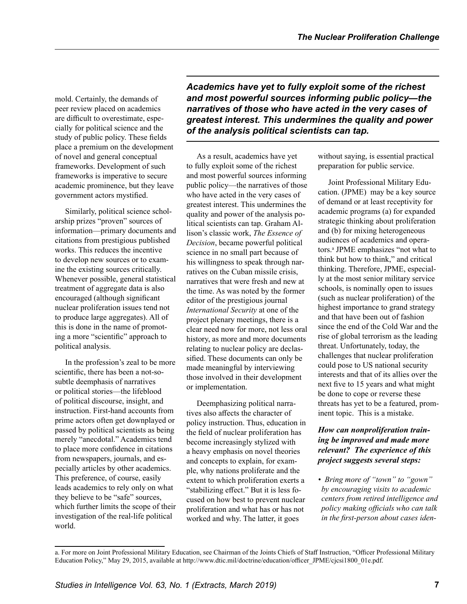mold. Certainly, the demands of peer review placed on academics are difficult to overestimate, especially for political science and the study of public policy. These fields place a premium on the development of novel and general conceptual frameworks. Development of such frameworks is imperative to secure academic prominence, but they leave government actors mystified.

Similarly, political science scholarship prizes "proven" sources of information—primary documents and citations from prestigious published works. This reduces the incentive to develop new sources or to examine the existing sources critically. Whenever possible, general statistical treatment of aggregate data is also encouraged (although significant nuclear proliferation issues tend not to produce large aggregates). All of this is done in the name of promoting a more "scientific" approach to political analysis.

In the profession's zeal to be more scientific, there has been a not-sosubtle deemphasis of narratives or political stories—the lifeblood of political discourse, insight, and instruction. First-hand accounts from prime actors often get downplayed or passed by political scientists as being merely "anecdotal." Academics tend to place more confidence in citations from newspapers, journals, and especially articles by other academics. This preference, of course, easily leads academics to rely only on what they believe to be "safe" sources, which further limits the scope of their investigation of the real-life political world.

*Academics have yet to fully exploit some of the richest and most powerful sources informing public policy—the narratives of those who have acted in the very cases of greatest interest. This undermines the quality and power of the analysis political scientists can tap.*

As a result, academics have yet to fully exploit some of the richest and most powerful sources informing public policy—the narratives of those who have acted in the very cases of greatest interest. This undermines the quality and power of the analysis political scientists can tap. Graham Allison's classic work, *The Essence of Decision*, became powerful political science in no small part because of his willingness to speak through narratives on the Cuban missile crisis, narratives that were fresh and new at the time. As was noted by the former editor of the prestigious journal *International Security* at one of the project plenary meetings, there is a clear need now for more, not less oral history, as more and more documents relating to nuclear policy are declassified. These documents can only be made meaningful by interviewing those involved in their development or implementation.

Deemphasizing political narratives also affects the character of policy instruction. Thus, education in the field of nuclear proliferation has become increasingly stylized with a heavy emphasis on novel theories and concepts to explain, for example, why nations proliferate and the extent to which proliferation exerts a "stabilizing effect." But it is less focused on how best to prevent nuclear proliferation and what has or has not worked and why. The latter, it goes

without saying, is essential practical preparation for public service.

Joint Professional Military Education. (JPME) may be a key source of demand or at least receptivity for academic programs (a) for expanded strategic thinking about proliferation and (b) for mixing heterogeneous audiences of academics and operators.<sup>a</sup> JPME emphasizes "not what to think but how to think," and critical thinking. Therefore, JPME, especially at the most senior military service schools, is nominally open to issues (such as nuclear proliferation) of the highest importance to grand strategy and that have been out of fashion since the end of the Cold War and the rise of global terrorism as the leading threat. Unfortunately, today, the challenges that nuclear proliferation could pose to US national security interests and that of its allies over the next five to 15 years and what might be done to cope or reverse these threats has yet to be a featured, prominent topic. This is a mistake.

## *How can nonproliferation training be improved and made more relevant? The experience of this project suggests several steps:*

*• Bring more of "town" to "gown" by encouraging visits to academic centers from retired intelligence and policy making officials who can talk in the first-person about cases iden-*

a. For more on Joint Professional Military Education, see Chairman of the Joints Chiefs of Staff Instruction, "Officer Professional Military Education Policy," May 29, 2015, available at http://www.dtic.mil/doctrine/education/officer\_JPME/cjcsi1800\_01e.pdf.